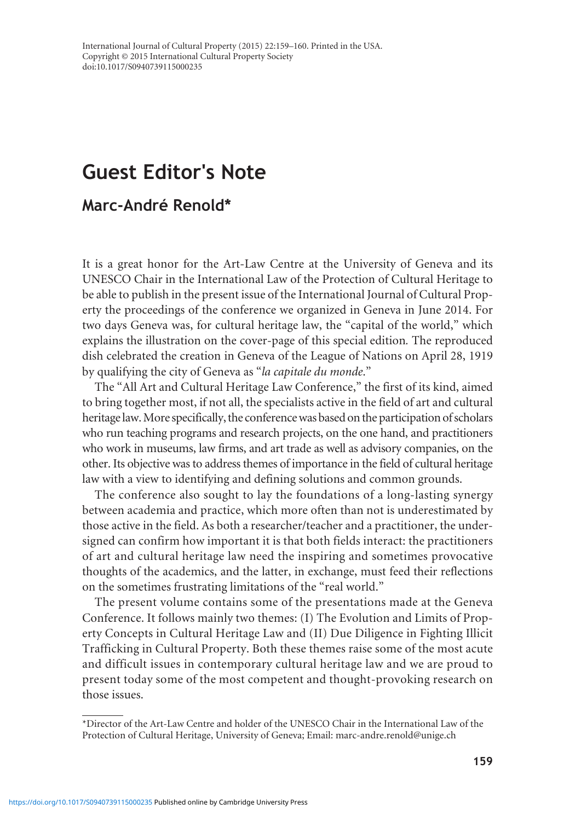## **Guest Editor's Note**

## **Marc-André Renold \***

 It is a great honor for the Art-Law Centre at the University of Geneva and its UNESCO Chair in the International Law of the Protection of Cultural Heritage to be able to publish in the present issue of the International Journal of Cultural Property the proceedings of the conference we organized in Geneva in June 2014. For two days Geneva was, for cultural heritage law, the "capital of the world," which explains the illustration on the cover-page of this special edition. The reproduced dish celebrated the creation in Geneva of the League of Nations on April 28, 1919 by qualifying the city of Geneva as " *la capitale du monde* ."

 The "All Art and Cultural Heritage Law Conference," the first of its kind, aimed to bring together most, if not all, the specialists active in the field of art and cultural heritage law. More specifically, the conference was based on the participation of scholars who run teaching programs and research projects, on the one hand, and practitioners who work in museums, law firms, and art trade as well as advisory companies, on the other. Its objective was to address themes of importance in the field of cultural heritage law with a view to identifying and defining solutions and common grounds.

 The conference also sought to lay the foundations of a long-lasting synergy between academia and practice, which more often than not is underestimated by those active in the field. As both a researcher/teacher and a practitioner, the undersigned can confirm how important it is that both fields interact: the practitioners of art and cultural heritage law need the inspiring and sometimes provocative thoughts of the academics, and the latter, in exchange, must feed their reflections on the sometimes frustrating limitations of the "real world."

 The present volume contains some of the presentations made at the Geneva Conference. It follows mainly two themes: (I) The Evolution and Limits of Property Concepts in Cultural Heritage Law and (II) Due Diligence in Fighting Illicit Trafficking in Cultural Property. Both these themes raise some of the most acute and difficult issues in contemporary cultural heritage law and we are proud to present today some of the most competent and thought-provoking research on those issues.

 <sup>\*</sup> Director of the Art-Law Centre and holder of the UNESCO Chair in the International Law of the Protection of Cultural Heritage, University of Geneva; Email: marc-andre.renold@unige.ch